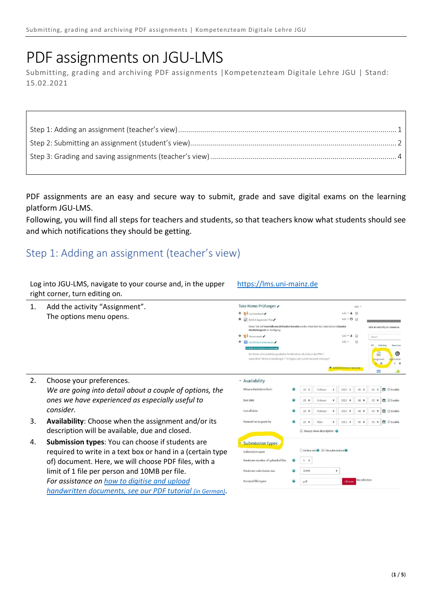## PDF assignments on JGU-LMS

Submitting, grading and archiving PDF assignments |Kompetenzteam Digitale Lehre JGU | Stand: 15.02.2021

PDF assignments are an easy and secure way to submit, grade and save digital exams on the learning platform JGU-LMS.

Following, you will find all steps for teachers and students, so that teachers know what students should see and which notifications they should be getting.

[https://lms.uni-mainz.de](https://lms.uni-mainz.de/)

## <span id="page-0-0"></span>Step 1: Adding an assignment (teacher's view)

*[handwritten documents, see our PDF tutorial](https://lehre.uni-mainz.de/files/2021/01/22-01-2021_Pruefungsdokumente_digitalisieren.pdf) (in German)*.

Log into JGU-LMS, navigate to your course and, in the upper

|    | right corner, turn editing on.                             |                                                                                                                                                                   |                       |                            |                                                                  |             |                                 |                        |                          |                                              |
|----|------------------------------------------------------------|-------------------------------------------------------------------------------------------------------------------------------------------------------------------|-----------------------|----------------------------|------------------------------------------------------------------|-------------|---------------------------------|------------------------|--------------------------|----------------------------------------------|
| 1. | Add the activity "Assignment".                             | Take-Home-Prüfungen                                                                                                                                               |                       |                            |                                                                  |             |                                 | Edit -                 |                          |                                              |
|    | The options menu opens.                                    | $+$ Test-Feedback                                                                                                                                                 |                       |                            |                                                                  |             | Edit · 备 図                      |                        |                          |                                              |
|    |                                                            | + Zeitlich begrenzter Test                                                                                                                                        |                       |                            |                                                                  |             | Edit $\cdot$ $\Theta$ $\boxdot$ |                        |                          |                                              |
|    |                                                            | Dieser Test soll innerhalb von 24 Stunden beendet werden. Nach Start des Tests stehen 2 Stunden<br>Bearbeitungszeit zur Verfügung.                                |                       |                            |                                                                  |             |                                 |                        |                          | Add an activity or resource                  |
|    |                                                            | $+$ $\blacksquare$ Themenwahl                                                                                                                                     |                       |                            |                                                                  |             | Edit ▼ ▲ 図                      |                        | Search                   |                                              |
|    |                                                            | ÷<br>Unsichtbare Dokumente<br>railable but not shown on course page                                                                                               |                       |                            |                                                                  |             | Edit +                          | $\overline{\omega}$    | AI                       | Activities<br>Resources                      |
|    |                                                            | Der Ordner wird unsichtbar geschaltet. Funktionieren die Links zu den PDFs?<br>Auswahl bei "Weitere Einstellungen": "Verfügbar, aber auf der Kursseite verborgen" |                       |                            |                                                                  |             | + Add an activity or resource   |                        | Assignment               | Θ<br><b>BigBlueButt</b><br>$^{\circ}$<br>☆ ◎ |
| 2. | Choose your preferences.                                   | * Availability                                                                                                                                                    |                       |                            |                                                                  |             |                                 |                        |                          |                                              |
|    | We are going into detail about a couple of options, the    | Allow submissions from                                                                                                                                            | ø                     | $15$ $\dagger$             | Februar                                                          | $\triangle$ | $2021$ $\dagger$                | $00 =$                 | $00 =$                   | <b>■ ⊡</b> Enable                            |
|    | ones we have experienced as especially useful to           | Due date                                                                                                                                                          | Ω                     | 22<br>$\ddot{\phantom{0}}$ | Februar                                                          | ÷           | 2021<br>$\div$                  | 08<br>$\div$           | 00<br>$\div$             | 曲<br>$\boxdot$ Enable                        |
|    | consider.                                                  | Cut-off date                                                                                                                                                      | ೧                     | 22<br>÷                    | Februar                                                          | ÷           | 2021<br>$\div$                  | 08<br>$\div$           | 00<br>÷                  | 譱<br>Enable                                  |
| 3. | Availability: Choose when the assignment and/or its        | Remind me to grade by                                                                                                                                             | 0                     | 25                         | März                                                             |             | 2021<br>$\Rightarrow$           | $00$ $\Leftrightarrow$ | 00<br>$\hat{\mathbf{v}}$ | <b>■</b> ⊠ Enable                            |
|    | description will be available, due and closed.             |                                                                                                                                                                   |                       |                            | $\triangleright$ Always show description $\odot$                 |             |                                 |                        |                          |                                              |
| 4. | <b>Submission types:</b> You can choose if students are    | <b>Submission types</b>                                                                                                                                           |                       |                            |                                                                  |             |                                 |                        |                          |                                              |
|    | required to write in a text box or hand in a (certain type | Submission types                                                                                                                                                  |                       |                            | $\Box$ Online text $\bigcirc$ $\Box$ File submissions $\bigcirc$ |             |                                 |                        |                          |                                              |
|    | of) document. Here, we will choose PDF files, with a       | Maximum number of uploaded files                                                                                                                                  | ര                     | $1 +$                      |                                                                  |             |                                 |                        |                          |                                              |
|    | limit of 1 file per person and 10MB per file.              | Maximum submission size                                                                                                                                           | $\boldsymbol{\Omega}$ | 10MB                       |                                                                  | ٠           |                                 |                        |                          |                                              |
|    | For assistance on how to digitise and upload               | Accepted file types                                                                                                                                               | ้                     | .pdf                       |                                                                  |             | Choose                          | No selection           |                          |                                              |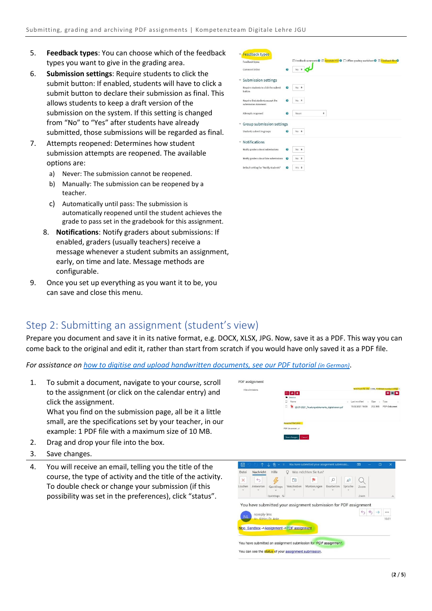- 5. **Feedback types**: You can choose which of the feedback types you want to give in the grading area.
- 6. **Submission settings**: Require students to click the submit button: If enabled, students will have to click a submit button to declare their submission as final. This allows students to keep a draft version of the submission on the system. If this setting is changed from "No" to "Yes" after students have already submitted, those submissions will be regarded as final.
- 7. Attempts reopened: Determines how student submission attempts are reopened. The available options are:
	- a) Never: The submission cannot be reopened.
	- b) Manually: The submission can be reopened by a teacher.
	- c) Automatically until pass: The submission is automatically reopened until the student achieves the grade to pass set in the gradebook for this assignment.
	- 8. **Notifications**: Notify graders about submissions: If enabled, graders (usually teachers) receive a message whenever a student submits an assignment, early, on time and late. Message methods are configurable.
- 9. Once you set up everything as you want it to be, you can save and close this menu.

| <b>Feedback types</b>                                    |                                                    |                                                                                                                     |
|----------------------------------------------------------|----------------------------------------------------|---------------------------------------------------------------------------------------------------------------------|
| Feedback types                                           |                                                    | <b>Example of Comments O</b> E Annotate PDF <b>O</b> E Offline grading worksheet <b>O</b> E Feedback files <b>O</b> |
| Comment inline                                           | $\bullet$                                          | No.                                                                                                                 |
| <b>Submission settings</b><br>×                          |                                                    |                                                                                                                     |
| Require students to click the submit<br>button           | Θ                                                  | No ≑                                                                                                                |
| Require that students accept the<br>submission statement | $\bm{v}$                                           | No $\bullet$                                                                                                        |
| Attempts reopened                                        | Θ                                                  | ۰<br>Never                                                                                                          |
|                                                          | Group submission settings                          |                                                                                                                     |
| Students submit in groups                                | Θ                                                  | No ÷                                                                                                                |
| <b>Notifications</b><br>v                                |                                                    |                                                                                                                     |
| Notily graders about submissions                         | $\bullet$                                          | No ÷                                                                                                                |
|                                                          | Notify graders about late submissions<br>$\bullet$ | No ¢                                                                                                                |
| Default setting for "Notify students"                    | 9                                                  | Yes $\div$                                                                                                          |

## <span id="page-1-0"></span>Step 2: Submitting an assignment (student's view)

Prepare you document and save it in its native format, e.g. DOCX, XLSX, JPG. Now, save it as a PDF. This way you can come back to the original and edit it, rather than start from scratch if you would have only saved it as a PDF file.

PDF assignment

*For assistance on [how to digitise and upload handwritten documents, see our PDF tutorial](https://lehre.uni-mainz.de/files/2021/01/22-01-2021_Pruefungsdokumente_digitalisieren.pdf) [\(in German\)](https://lehre.uni-mainz.de/files/2021/01/22-01-2021_Pruefungsdokumente_digitalisieren.pdf)*.

1. To submit a document, navigate to your course, scroll to the assignment (or click on the calendar entry) and click the assignment.

What you find on the submission page, all be it a little small, are the specifications set by your teacher, in our example: 1 PDF file with a maximum size of 10 MB.

- 2. Drag and drop your file into the box.
- 3. Save changes.
- 4. You will receive an email, telling you the title of the course, the type of activity and the title of the activity. To double check or change your submission (if this possibility was set in the preferences), click "status".

|                                                                                 |                          | ⊡  ≛   8<br>Dateien              |                                                  |            |           |                  |                               | . .          |
|---------------------------------------------------------------------------------|--------------------------|----------------------------------|--------------------------------------------------|------------|-----------|------------------|-------------------------------|--------------|
|                                                                                 |                          | Name                             |                                                  |            | ٠         | Last modified    | Size<br>×                     | Туре         |
|                                                                                 |                          | Έ                                | 22-01-2021 Pruefungsdokumente digitalisieren.pdf |            |           | 15.02.2021 18:00 | 212.1KB                       | PDF-Dokument |
|                                                                                 |                          | Accepted file types:             |                                                  |            |           |                  |                               |              |
|                                                                                 |                          | PDF document.off<br>Save changes | Cancel                                           |            |           |                  |                               |              |
|                                                                                 |                          |                                  |                                                  |            |           |                  |                               |              |
|                                                                                 |                          |                                  |                                                  |            |           |                  |                               |              |
|                                                                                 |                          |                                  |                                                  |            |           |                  |                               |              |
|                                                                                 |                          |                                  |                                                  |            |           |                  |                               |              |
| $\uparrow$                                                                      | A<br>↓<br>÷              |                                  | You have submitted your assignment submissio     |            |           | 困                | O                             | $\times$     |
| Nachricht                                                                       | Hilfe                    |                                  | Was möchten Sie tun?                             |            |           |                  |                               |              |
| $\leftrightarrow$<br>×                                                          |                          | 山                                | ٩b                                               | ρ          | $A^{(1)}$ |                  |                               |              |
| Antworten                                                                       | QuickSteps               | Verschieben                      | Markierungen                                     | Bearbeiten | Sprache   | Zoom             |                               |              |
| ⊞<br>Datei<br>Löschen                                                           | QuickSteps <sub>IS</sub> |                                  |                                                  |            |           | Zoom             |                               | $\wedge$     |
|                                                                                 |                          |                                  |                                                  |            |           |                  |                               |              |
| You have submitted your assignment submission for PDF assignment<br>noreply-lms |                          |                                  |                                                  |            |           | ↰                | $\spadesuit$<br>$\rightarrow$ |              |

You have submitted an assignment submission for 'PDF assignment.

You can see the status of your assignment submission

Moo Sandbox ->Assignment ->PDF assignment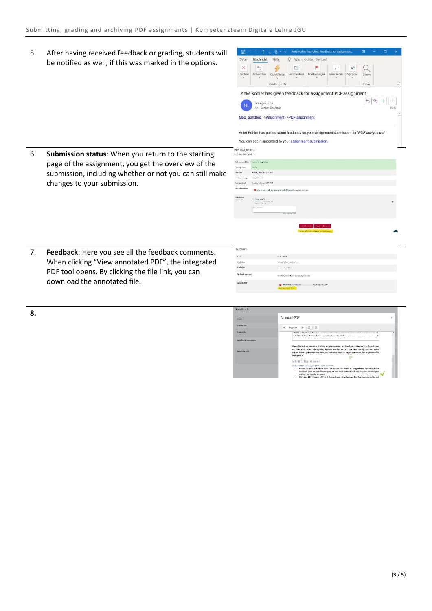5. After having received feedback or grading, students will be notified as well, if this was marked in the options.

|         |                     |                                           | 凹           | Æ            | $\mathcal{Q}$ | $A^{(1)}$ |      |  |       |
|---------|---------------------|-------------------------------------------|-------------|--------------|---------------|-----------|------|--|-------|
| Löschen | Antworten           | QuickSteps                                | Verschieben | Markierungen | Bearbeiten    | Sprache   | Zoom |  |       |
|         |                     | QuickSteps 5                              |             |              |               |           | Zoom |  | ㅅ     |
| NI      | An Köhler, Dr. Anke |                                           |             |              |               |           |      |  | 16:42 |
|         |                     |                                           |             |              |               |           |      |  |       |
|         |                     | Moo Sandbox ->Assignment ->PDF assignment |             |              |               |           |      |  |       |
|         |                     |                                           |             |              |               |           |      |  |       |

6. **Submission status**: When you return to the starting page of the assignment, you get the overview of the submission, including whether or not you can still make changes to your submission.

| PDF assignment<br>Submission status |                                                                                           |                                                |
|-------------------------------------|-------------------------------------------------------------------------------------------|------------------------------------------------|
|                                     |                                                                                           |                                                |
| Sulminoien status                   | Salesited for grading                                                                     |                                                |
| Grading status                      | <b>Linder</b>                                                                             |                                                |
| Due date                            | Montag, 22 Februar 2021, 8:00                                                             |                                                |
| time neconing                       | tidays to home                                                                            |                                                |
| tast notified                       | Nontag, 15 Februar 2021, 4:21                                                             |                                                |
| File submissions                    | 22-03-2021, Prachargabhamerte, digitalisieren ad 15 Deirusz 2021, 401                     |                                                |
| Submission<br>comments              | > Commerts (1)<br><b>INVENIAL PROTECTION</b><br>a tea awaren (Ar<br><b>DATA increase </b> | û.                                             |
|                                     | Saw comment) Cancel                                                                       |                                                |
|                                     |                                                                                           |                                                |
|                                     |                                                                                           | Renove submission<br>töksabmission             |
|                                     |                                                                                           | You can still make changes to your submission. |
|                                     |                                                                                           |                                                |
|                                     |                                                                                           |                                                |

Feedback

in a

7. **Feedback**: Here you see all the feedback comments. When clicking "View annotated PDF", the integrated PDF tool opens. By clicking the file link, you can download the annotated file.

**8.**

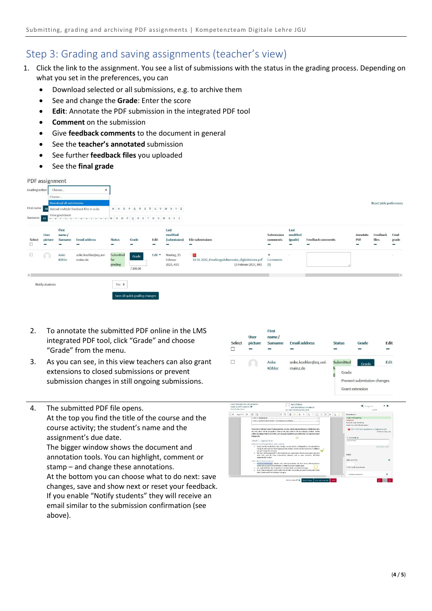## <span id="page-3-0"></span>Step 3: Grading and saving assignments (teacher's view)

- 1. Click the link to the assignment. You see a list of submissions with the status in the grading process. Depending on what you set in the preferences, you can
	- Download selected or all submissions, e.g. to archive them
	- See and change the **Grade**: Enter the score
	- **Edit**: Annotate the PDF submission in the integrated PDF tool
	- **Comment** on the submission
	- Give **feedback comments** to the document in general
	- See the **teacher's annotated** submission
	- See further **feedback files** you uploaded
	- See the **final grade**

| PDF assignment |                        |                                 |                                                                    |                             |                                                              |        |                                     |                                                                                   |                                    |                             |                          |                      |                         |                |
|----------------|------------------------|---------------------------------|--------------------------------------------------------------------|-----------------------------|--------------------------------------------------------------|--------|-------------------------------------|-----------------------------------------------------------------------------------|------------------------------------|-----------------------------|--------------------------|----------------------|-------------------------|----------------|
| Grading action |                        | Choose                          |                                                                    |                             |                                                              |        |                                     |                                                                                   |                                    |                             |                          |                      |                         |                |
|                |                        | Choose                          |                                                                    |                             |                                                              |        |                                     |                                                                                   |                                    |                             |                          |                      |                         |                |
| First name     |                        | <b>Download all submissions</b> |                                                                    |                             |                                                              |        |                                     |                                                                                   |                                    |                             |                          |                      | Reset table preferences |                |
| Surname All    | <b>All</b>             | View gradebook                  | Upload multiple feedback files in a zip<br>A D L U E F U R I J N L |                             | M N O P Q R S T U V W X Y Z<br>$M N O P Q R S T U V W X Y Z$ |        |                                     |                                                                                   |                                    |                             |                          |                      |                         |                |
| Select         | <b>User</b><br>picture | First<br>name/<br>Surname       | <b>Email address</b>                                               | <b>Status</b><br>-          | Grade                                                        | Edit   | Last<br>modified<br>(submission)    | <b>File submissions</b>                                                           | <b>Submission</b><br>comments<br>- | Last<br>modified<br>(grade) | <b>Feedback comments</b> | Annotate<br>PDF<br>٠ | Feedback<br>files<br>-  | Final<br>grade |
| $\Box$         | O                      | Anke<br>Köhler                  | anke.koehler@zq.uni-<br>mainz.de                                   | Submitted<br>for<br>grading | Grade<br>/100.00                                             | Edit * | Montag, 15<br>Februar<br>2021, 4:01 | - 53<br>22-01-2021_Pruefungsdokumente_digitalisieren.pdf<br>15 Februar 2021, 4:01 | Comments<br>(0)                    | $\sim$                      |                          |                      |                         |                |
| $\langle$      | Notify students        |                                 |                                                                    | Yes $\div$                  | Save all quick grading changes                               |        |                                     |                                                                                   |                                    |                             |                          |                      |                         | $\rightarrow$  |

- 2. To annotate the submitted PDF online in the LMS integrated PDF tool, click "Grade" and choose "Grade" from the menu.
- 3. As you can see, in this view teachers can also grant extensions to closed submissions or prevent submission changes in still ongoing submissions.
- 4. The submitted PDF file opens.

At the top you find the title of the course and the course activity; the student's name and the assignment's due date.

The bigger window shows the document and annotation tools. You can highlight, comment or stamp – and change these annotations. At the bottom you can choose what to do next: save

changes, save and show next or reset your feedback. If you enable "Notify students" they will receive an email similar to the submission confirmation (see above).